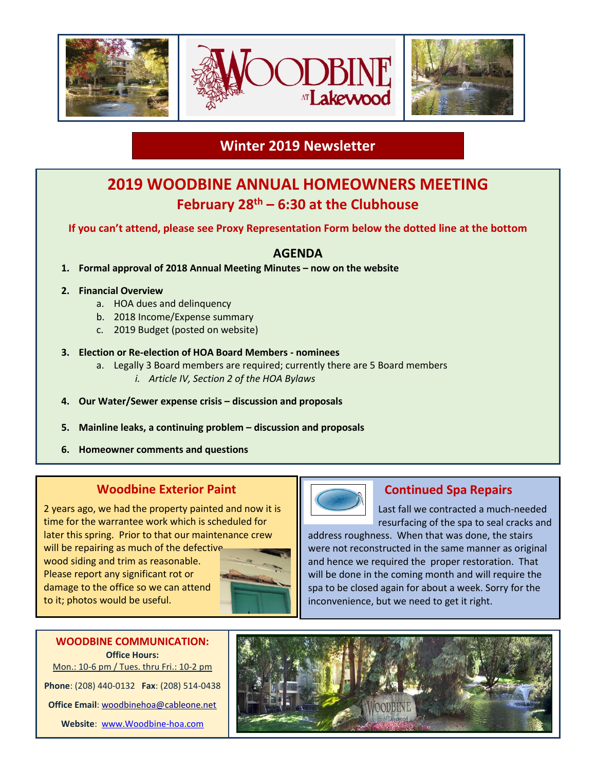

## **Winter 2019 Newsletter**

# **2019 WOODBINE ANNUAL HOMEOWNERS MEETING February 28 th – 6:30 at the Clubhouse**

**If you can't attend, please see Proxy Representation Form below the dotted line at the bottom**

#### **AGENDA**

- **1. Formal approval of 2018 Annual Meeting Minutes – now on the website**
- **2. Financial Overview**
	- a. HOA dues and delinquency
	- b. 2018 Income/Expense summary
	- c. 2019 Budget (posted on website)

#### **3. Election or Re-election of HOA Board Members - nominees**

- a. Legally 3 Board members are required; currently there are 5 Board members
	- *i. Article IV, Section 2 of the HOA Bylaws*
- **4. Our Water/Sewer expense crisis – discussion and proposals**
- **5. Mainline leaks, a continuing problem – discussion and proposals**
- **6. Homeowner comments and questions**

#### **Woodbine Exterior Paint**

2 years ago, we had the property painted and now it is time for the warrantee work which is scheduled for later this spring. Prior to that our maintenance crew

will be repairing as much of the defective wood siding and trim as reasonable. Please report any significant rot or damage to the office so we can attend to it; photos would be useful.





### **Continued Spa Repairs**

Last fall we contracted a much-needed resurfacing of the spa to seal cracks and

address roughness. When that was done, the stairs were not reconstructed in the same manner as original and hence we required the proper restoration. That will be done in the coming month and will require the spa to be closed again for about a week. Sorry for the inconvenience, but we need to get it right.

### **WOODBINE COMMUNICATION: Office Hours:** Mon.: 10-6 pm / Tues. thru Fri.: 10-2 pm

**Phone**: (208) 440-0132 **Fax**: (208) 514-0438 **Office Email**[: woodbinehoa@cableone.net](mailto:woodbinehoa@cableone.net)

**Website**: [www.Woodbine-hoa.com](http://www.woodbine-hoa.com/)

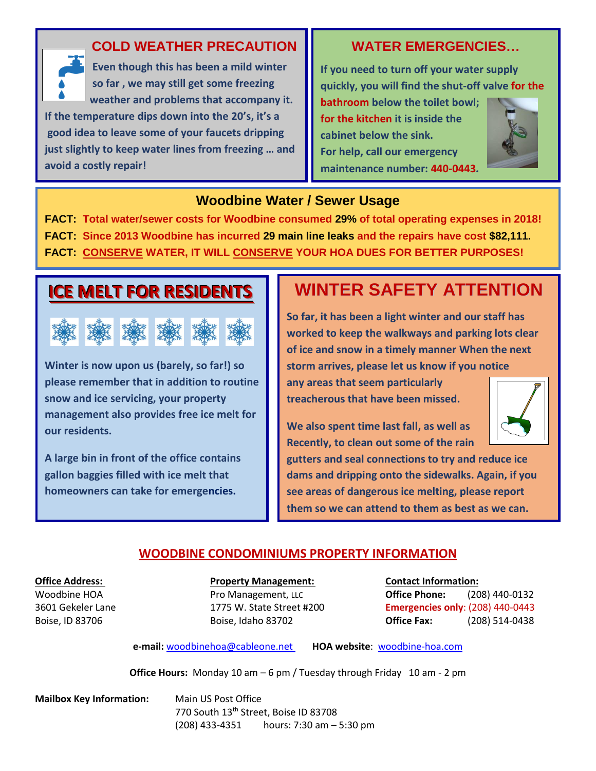

### **COLD WEATHER PRECAUTION**

 **Even though this has been a mild winter so far , we may still get some freezing weather and problems that accompany it. If the temperature dips down into the 20's, it's a good idea to leave some of your faucets dripping just slightly to keep water lines from freezing … and avoid a costly repair!** 

## **WATER EMERGENCIES…**

**If you need to turn off your water supply quickly, you will find the shut-off valve for the** 

**bathroom below the toilet bowl; for the kitchen it is inside the cabinet below the sink. For help, call our emergency maintenance number: 440-0443***.*



## **Woodbine Water / Sewer Usage**

**FACT: Total water/sewer costs for Woodbine consumed 29% of total operating expenses in 2018! FACT: Since 2013 Woodbine has incurred 29 main line leaks and the repairs have cost \$82,111. FACT: CONSERVE WATER, IT WILL CONSERVE YOUR HOA DUES FOR BETTER PURPOSES!**

# **IICE MELT FOR RESIIDENTS**



**Winter is now upon us (barely, so far!) so please remember that in addition to routine snow and ice servicing, your property management also provides free ice melt for our residents.** 

**A large bin in front of the office contains gallon baggies filled with ice melt that homeowners can take for emergencies.**

# **WINTER SAFETY ATTENTION**

**So far, it has been a light winter and our staff has worked to keep the walkways and parking lots clear of ice and snow in a timely manner When the next storm arrives, please let us know if you notice any areas that seem particularly** 

**treacherous that have been missed.** 

**We also spent time last fall, as well as Recently, to clean out some of the rain** 



**gutters and seal connections to try and reduce ice dams and dripping onto the sidewalks. Again, if you see areas of dangerous ice melting, please report them so we can attend to them as best as we can.**

### **WOODBINE CONDOMINIUMS PROPERTY INFORMATION**

**Office Address: Property Management: Contact Information:**

Woodbine HOA **Pro Management, LLC Office Phone:** (208) 440-0132 3601 Gekeler Lane 1775 W. State Street #200 **Emergencies only**: (208) 440-0443 Boise, ID 83706 Boise, Idaho 83702 **Office Fax:** (208) 514-0438

**e-mail:** [woodbinehoa@cableone.net](mailto:woodbine@cableone.net) **HOA website**: woodbine-hoa.com

**Office Hours:** Monday 10 am – 6 pm / Tuesday through Friday 10 am - 2 pm

**Mailbox Key Information:** Main US Post Office 770 South 13<sup>th</sup> Street, Boise ID 83708 (208) 433-4351 hours: 7:30 am – 5:30 pm